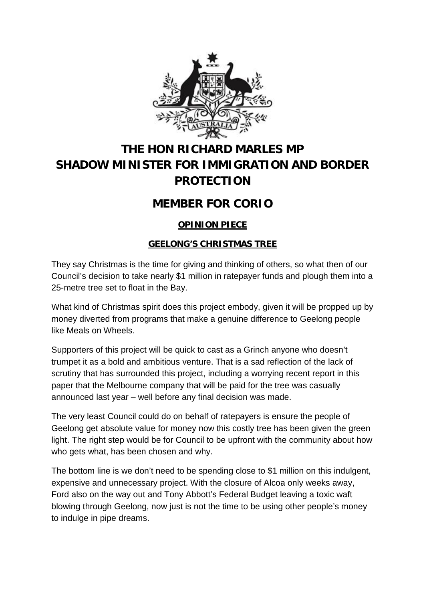

# **THE HON RICHARD MARLES MP SHADOW MINISTER FOR IMMIGRATION AND BORDER PROTECTION**

## **MEMBER FOR CORIO**

### **OPINION PIECE**

### **GEELONG'S CHRISTMAS TREE**

They say Christmas is the time for giving and thinking of others, so what then of our Council's decision to take nearly \$1 million in ratepayer funds and plough them into a 25-metre tree set to float in the Bay.

What kind of Christmas spirit does this project embody, given it will be propped up by money diverted from programs that make a genuine difference to Geelong people like Meals on Wheels.

Supporters of this project will be quick to cast as a Grinch anyone who doesn't trumpet it as a bold and ambitious venture. That is a sad reflection of the lack of scrutiny that has surrounded this project, including a worrying recent report in this paper that the Melbourne company that will be paid for the tree was casually announced last year – well before any final decision was made.

The very least Council could do on behalf of ratepayers is ensure the people of Geelong get absolute value for money now this costly tree has been given the green light. The right step would be for Council to be upfront with the community about how who gets what, has been chosen and why.

The bottom line is we don't need to be spending close to \$1 million on this indulgent, expensive and unnecessary project. With the closure of Alcoa only weeks away, Ford also on the way out and Tony Abbott's Federal Budget leaving a toxic waft blowing through Geelong, now just is not the time to be using other people's money to indulge in pipe dreams.